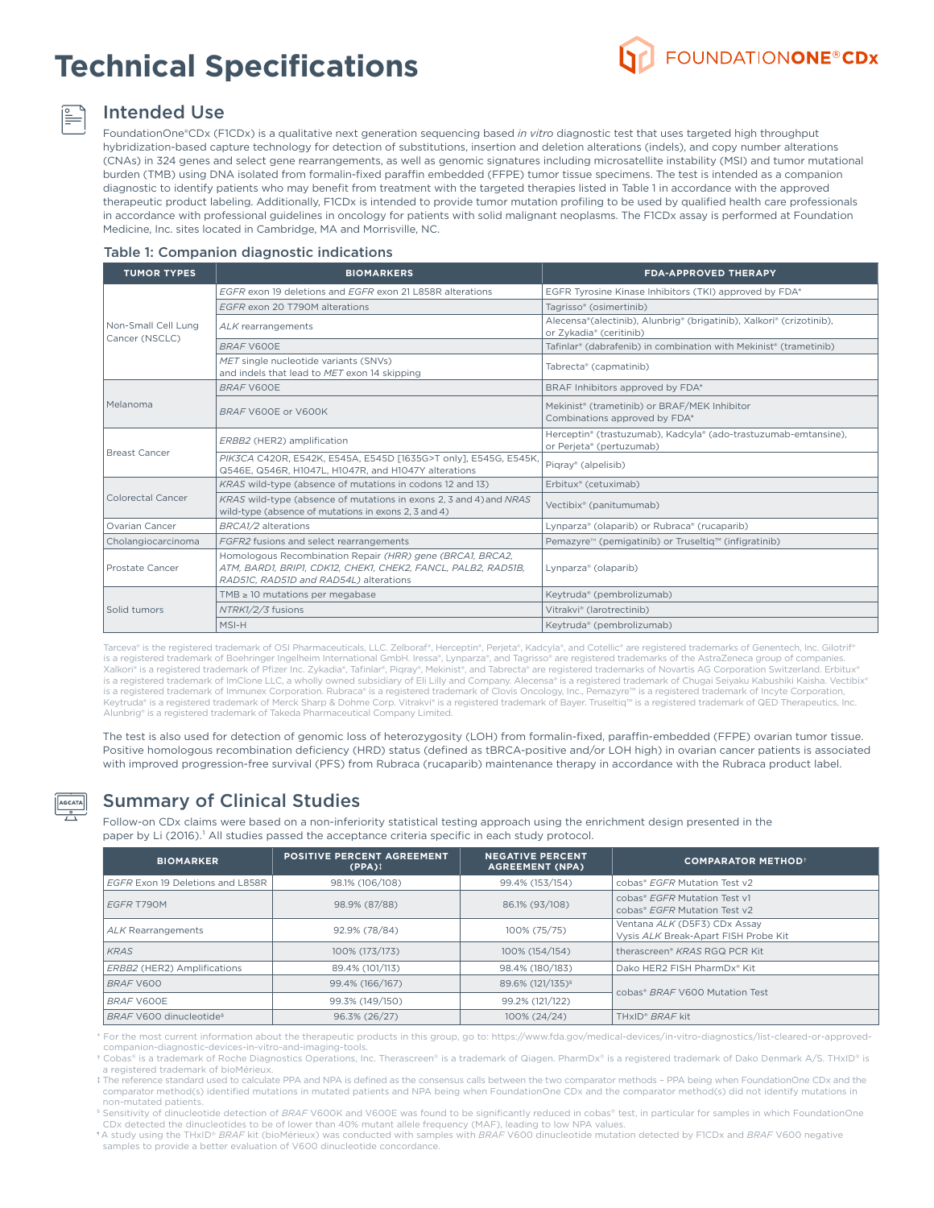# **Technical Specifications**



## Intended Use

FoundationOne®CDx (F1CDx) is a qualitative next generation sequencing based *in vitro* diagnostic test that uses targeted high throughput hybridization-based capture technology for detection of substitutions, insertion and deletion alterations (indels), and copy number alterations (CNAs) in 324 genes and select gene rearrangements, as well as genomic signatures including microsatellite instability (MSI) and tumor mutational burden (TMB) using DNA isolated from formalin-fixed paraffin embedded (FFPE) tumor tissue specimens. The test is intended as a companion diagnostic to identify patients who may benefit from treatment with the targeted therapies listed in Table 1 in accordance with the approved therapeutic product labeling. Additionally, F1CDx is intended to provide tumor mutation profiling to be used by qualified health care professionals in accordance with professional guidelines in oncology for patients with solid malignant neoplasms. The F1CDx assay is performed at Foundation Medicine, Inc. sites located in Cambridge, MA and Morrisville, NC.

#### Table 1: Companion diagnostic indications

| <b>TUMOR TYPES</b>                    | <b>BIOMARKERS</b>                                                                                                                                                    | <b>FDA-APPROVED THERAPY</b>                                                                     |  |  |
|---------------------------------------|----------------------------------------------------------------------------------------------------------------------------------------------------------------------|-------------------------------------------------------------------------------------------------|--|--|
|                                       | EGER exon 19 deletions and EGER exon 21 L858R alterations                                                                                                            | EGFR Tyrosine Kinase Inhibitors (TKI) approved by FDA*                                          |  |  |
|                                       | EGFR exon 20 T790M alterations                                                                                                                                       | Tagrisso® (osimertinib)                                                                         |  |  |
| Non-Small Cell Lung<br>Cancer (NSCLC) | ALK rearrangements                                                                                                                                                   | Alecensa®(alectinib), Alunbrig® (brigatinib), Xalkori® (crizotinib),<br>or Zykadia® (ceritinib) |  |  |
|                                       | BRAF V600E                                                                                                                                                           | Tafinlar® (dabrafenib) in combination with Mekinist® (trametinib)                               |  |  |
|                                       | MET single nucleotide variants (SNVs)<br>and indels that lead to MET exon 14 skipping                                                                                | Tabrecta® (capmatinib)                                                                          |  |  |
|                                       | BRAF V600E                                                                                                                                                           | BRAF Inhibitors approved by FDA*                                                                |  |  |
| Melanoma                              | BRAF V600E or V600K                                                                                                                                                  | Mekinist <sup>®</sup> (trametinib) or BRAF/MEK Inhibitor<br>Combinations approved by FDA*       |  |  |
|                                       | ERBB2 (HER2) amplification                                                                                                                                           | Herceptin® (trastuzumab), Kadcyla® (ado-trastuzumab-emtansine),<br>or Perjeta® (pertuzumab)     |  |  |
| <b>Breast Cancer</b>                  | PIK3CA C420R, E542K, E545A, E545D [1635G>T only], E545G, E545K,<br>Q546E, Q546R, H1047L, H1047R, and H1047Y alterations                                              | Pigray® (alpelisib)                                                                             |  |  |
|                                       | KRAS wild-type (absence of mutations in codons 12 and 13)                                                                                                            | Erbitux® (cetuximab)                                                                            |  |  |
| <b>Colorectal Cancer</b>              | KRAS wild-type (absence of mutations in exons 2, 3 and 4) and NRAS<br>wild-type (absence of mutations in exons 2, 3 and 4)                                           | Vectibix <sup>®</sup> (panitumumab)                                                             |  |  |
| Ovarian Cancer                        | BRCA1/2 alterations                                                                                                                                                  | Lynparza® (olaparib) or Rubraca® (rucaparib)                                                    |  |  |
| Cholangiocarcinoma                    | FGFR2 fusions and select rearrangements                                                                                                                              | Pemazyre <sup>™</sup> (pemigatinib) or Truseltig <sup>™</sup> (infigratinib)                    |  |  |
| Prostate Cancer                       | Homologous Recombination Repair (HRR) gene (BRCA1, BRCA2,<br>ATM, BARD1, BRIP1, CDK12, CHEK1, CHEK2, FANCL, PALB2, RAD51B,<br>RAD51C, RAD51D and RAD54L) alterations | Lynparza® (olaparib)                                                                            |  |  |
|                                       | TMB $\geq$ 10 mutations per megabase                                                                                                                                 | Keytruda® (pembrolizumab)                                                                       |  |  |
| Solid tumors                          | NTRK1/2/3 fusions                                                                                                                                                    | Vitrakvi <sup>®</sup> (larotrectinib)                                                           |  |  |
|                                       | MSI-H                                                                                                                                                                | Keytruda® (pembrolizumab)                                                                       |  |  |

Tarceva® is the registered trademark of OSI Pharmaceuticals, LLC. Zelboraf®, Herceptin®, Perjeta®, Kadcyla®, and Cotellic® are registered trademarks of Genentech, Inc. Gilotrif® is a registered trademark of Boehringer Ingelheim International GmbH. Iressa®, Lynparza®, and Tagrisso® are registered trademarks of the AstraZeneca group of companies.<br>Xalkori® is a registered trademark of Pfizer Inc. Zyk is a registered trademark of ImClone LLC, a wholly owned subsidiary of Eli Lilly and Company. Alecensa® is a registered trademark of Chugai Seiyaku Kabushiki Kaisha. Vectibix® is a registered trademark of Immunex Corporation. Rubraca® is a registered trademark of Clovis Oncology, Inc., Pemazyre™ is a registered trademark of Incyte Corporation Keytruda® is a registered trademark of Merck Sharp & Dohme Corp. Vitrakvi® is a registered trademark of Bayer. Truseltiq™ is a registered trademark of QED Therapeutics, Inc. Alunbrig® is a registered trademark of Takeda Pharmaceutical Company Limited.

The test is also used for detection of genomic loss of heterozygosity (LOH) from formalin-fixed, paraffin-embedded (FFPE) ovarian tumor tissue. Positive homologous recombination deficiency (HRD) status (defined as tBRCA-positive and/or LOH high) in ovarian cancer patients is associated with improved progression-free survival (PFS) from Rubraca (rucaparib) maintenance therapy in accordance with the Rubraca product label.



### Summary of Clinical Studies

Follow-on CDx claims were based on a non-inferiority statistical testing approach using the enrichment design presented in the paper by Li (2016).<sup>1</sup> All studies passed the acceptance criteria specific in each study protocol.

| <b>BIOMARKER</b>                    | <b>POSITIVE PERCENT AGREEMENT</b><br>$(PPA)$ <sup><math>\ddagger</math></sup> | <b>NEGATIVE PERCENT</b><br><b>AGREEMENT (NPA)</b> | <b>COMPARATOR METHOD+</b>                                            |  |
|-------------------------------------|-------------------------------------------------------------------------------|---------------------------------------------------|----------------------------------------------------------------------|--|
| EGFR Exon 19 Deletions and L858R    | 98.1% (106/108)                                                               | 99.4% (153/154)                                   | cobas® EGER Mutation Test y2                                         |  |
| EGFR T790M                          | 98.9% (87/88)                                                                 | 86.1% (93/108)                                    | cobas® EGER Mutation Test v1<br>cobas® EGER Mutation Test y2         |  |
| ALK Rearrangements                  | 92.9% (78/84)                                                                 | 100% (75/75)                                      | Ventana ALK (D5F3) CDx Assay<br>Vysis ALK Break-Apart FISH Probe Kit |  |
| <b>KRAS</b>                         | 100% (173/173)                                                                | 100% (154/154)                                    | therascreen <sup>®</sup> KRAS RGQ PCR Kit                            |  |
| ERBB2 (HER2) Amplifications         | 89.4% (101/113)                                                               | 98.4% (180/183)                                   | Dako HER2 FISH PharmDx* Kit                                          |  |
| BRAF V600                           | 99.4% (166/167)                                                               | 89.6% (121/135) <sup>§</sup>                      | cobas <sup>®</sup> BRAF V600 Mutation Test                           |  |
| BRAF V600E                          | 99.3% (149/150)                                                               | 99.2% (121/122)                                   |                                                                      |  |
| BRAF V600 dinucleotide <sup>§</sup> | 96.3% (26/27)                                                                 | 100% (24/24)                                      | THxID <sup>®</sup> BRAF kit                                          |  |

\* For the most current information about the therapeutic products in this group, go to: https://www.fda.gov/medical-devices/in-vitro-diagnostics/list-cleared-or-approvedcompanion-diagnostic-devices-in-vitro-and-imaging-tools.

† Cobas® is a trademark of Roche Diagnostics Operations, Inc. Therascreen® is a trademark of Qiagen. PharmDx® is a registered trademark of Dako Denmark A/S. THxID® is a registered trademark of bioMérieux.

‡ The reference standard used to calculate PPA and NPA is defined as the consensus calls between the two comparator methods – PPA being when FoundationOne CDx and the comparator method(s) identified mutations in mutated patients and NPA being when FoundationOne CDx and the comparator method(s) did not identify mutations in non-mutated patients.

<sup>9</sup> Sensitivity of dinucleotide detection of BRAF V600K and V600E was found to be significantly reduced in cobas® test, in particular for samples in which FoundationOne CDx detected the dinucleotides to be of lower than 40% mutant allele frequency (MAF), leading to low NPA values.

¶ A study using the THxID® *BRAF* kit (bioMérieux) was conducted with samples with *BRAF* V600 dinucleotide mutation detected by F1CDx and *BRAF* V600 negative samples to provide a better evaluation of V600 dinucleotide concordance.